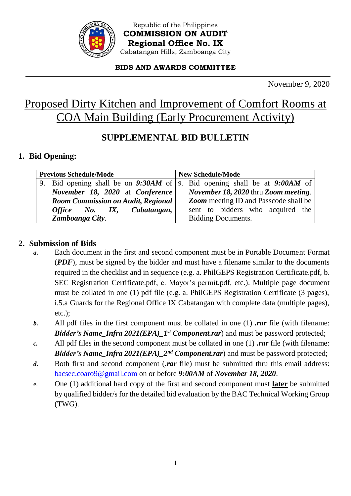

Republic of the Philippines **COMMISSION ON AUDIT Regional Office No. IX** Cabatangan Hills, Zamboanga City

#### **BIDS AND AWARDS COMMITTEE**

November 9, 2020

## Proposed Dirty Kitchen and Improvement of Comfort Rooms at COA Main Building (Early Procurement Activity)

## **SUPPLEMENTAL BID BULLETIN**

#### **1. Bid Opening:**

| <b>Previous Schedule/Mode</b>             |                                 | <b>New Schedule/Mode</b>                                                    |
|-------------------------------------------|---------------------------------|-----------------------------------------------------------------------------|
|                                           |                                 | 9. Bid opening shall be on 9:30AM of 9. Bid opening shall be at $9:00AM$ of |
|                                           | November 18, 2020 at Conference | <i>November 18, 2020</i> thru <i>Zoom meeting</i> .                         |
| <b>Room Commission on Audit, Regional</b> |                                 | <b>Zoom</b> meeting ID and Passcode shall be                                |
|                                           | Office No. IX, Cabatangan,      | sent to bidders who acquired the                                            |
|                                           | Zamboanga City.                 | Bidding Documents.                                                          |

#### **2. Submission of Bids**

- *a.* Each document in the first and second component must be in Portable Document Format (*PDF*), must be signed by the bidder and must have a filename similar to the documents required in the checklist and in sequence (e.g. a. PhilGEPS Registration Certificate.pdf, b. SEC Registration Certificate.pdf, c. Mayor's permit.pdf, etc.). Multiple page document must be collated in one (1) pdf file (e.g. a. PhilGEPS Registration Certificate (3 pages), i.5.a Guards for the Regional Office IX Cabatangan with complete data (multiple pages), etc.);
- *b.* All pdf files in the first component must be collated in one (1) *.rar* file (with filename: *Bidder's Name\_Infra 2021(EPA)\_1st Component.rar*) and must be password protected;
- *c.* All pdf files in the second component must be collated in one (1) *.rar* file (with filename: *Bidder's Name\_Infra 2021(EPA)\_2<sup>nd</sup> Component.rar*) and must be password protected;
- *d.* Both first and second component (*.rar* file) must be submitted thru this email address: [bacsec.coaro9@gmail.com](mailto:bacsec.coaro9@gmail.com) on or before *9:00AM* of *November 18, 2020*.
- e. One (1) additional hard copy of the first and second component must **later** be submitted by qualified bidder/s for the detailed bid evaluation by the BAC Technical Working Group (TWG).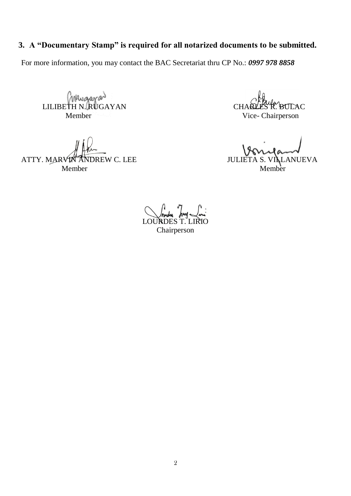## **3. A "Documentary Stamp" is required for all notarized documents to be submitted.**

For more information, you may contact the BAC Secretariat thru CP No.: *0997 978 8858*

CHARLES R. BULLIBETH N. RUGAYAN Member Vice- Chairperson

ATTY. MARVIN ANDREW C. LEE JULIETA S. VILLANUEVA Member Member

**LOURDE** Chairperson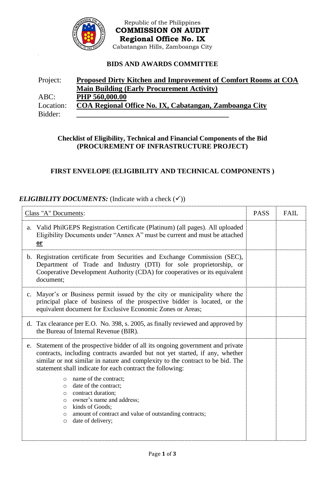

Republic of the Philippines **COMMISSION ON AUDIT Regional Office No. IX** Cabatangan Hills, Zamboanga City

#### **BIDS AND AWARDS COMMITTEE**

| Project:  | Proposed Dirty Kitchen and Improvement of Comfort Rooms at COA |
|-----------|----------------------------------------------------------------|
|           | <b>Main Building (Early Procurement Activity)</b>              |
| $ABC$ :   | PHP 560,000.00                                                 |
| Location: | COA Regional Office No. IX, Cabatangan, Zamboanga City         |
| Bidder:   |                                                                |

#### **Checklist of Eligibility, Technical and Financial Components of the Bid (PROCUREMENT OF INFRASTRUCTURE PROJECT)**

#### **FIRST ENVELOPE (ELIGIBILITY AND TECHNICAL COMPONENTS )**

#### *ELIGIBILITY DOCUMENTS:* (Indicate with a check  $(\checkmark)$ )

| Class "A" Documents: |                                                                                                                                                                                                                                                                                                                                                    | <b>PASS</b> | <b>FAIL</b> |
|----------------------|----------------------------------------------------------------------------------------------------------------------------------------------------------------------------------------------------------------------------------------------------------------------------------------------------------------------------------------------------|-------------|-------------|
| a.                   | Valid PhilGEPS Registration Certificate (Platinum) (all pages). All uploaded<br>Eligibility Documents under "Annex A" must be current and must be attached<br>$or$                                                                                                                                                                                 |             |             |
|                      | b. Registration certificate from Securities and Exchange Commission (SEC),<br>Department of Trade and Industry (DTI) for sole proprietorship, or<br>Cooperative Development Authority (CDA) for cooperatives or its equivalent<br>document;                                                                                                        |             |             |
|                      | c. Mayor's or Business permit issued by the city or municipality where the<br>principal place of business of the prospective bidder is located, or the<br>equivalent document for Exclusive Economic Zones or Areas;                                                                                                                               |             |             |
|                      | d. Tax clearance per E.O. No. 398, s. 2005, as finally reviewed and approved by<br>the Bureau of Internal Revenue (BIR).                                                                                                                                                                                                                           |             |             |
|                      | e. Statement of the prospective bidder of all its ongoing government and private<br>contracts, including contracts awarded but not yet started, if any, whether<br>similar or not similar in nature and complexity to the contract to be bid. The<br>statement shall indicate for each contract the following:<br>name of the contract;<br>$\circ$ |             |             |
|                      | date of the contract;<br>$\circ$<br>contract duration;<br>$\circ$<br>owner's name and address;<br>$\circ$<br>o kinds of Goods;<br>o amount of contract and value of outstanding contracts;<br>date of delivery;<br>$\circ$                                                                                                                         |             |             |
|                      |                                                                                                                                                                                                                                                                                                                                                    |             |             |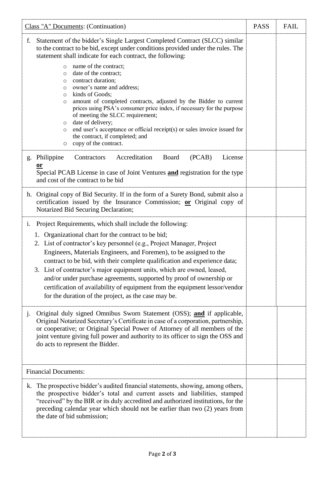| Class "A" Documents: (Continuation)                                                                                                                                                                                                                                                                                                                                                                                                                                                                                                                                                                                                           |  | <b>FAIL</b> |
|-----------------------------------------------------------------------------------------------------------------------------------------------------------------------------------------------------------------------------------------------------------------------------------------------------------------------------------------------------------------------------------------------------------------------------------------------------------------------------------------------------------------------------------------------------------------------------------------------------------------------------------------------|--|-------------|
| Statement of the bidder's Single Largest Completed Contract (SLCC) similar<br>f.<br>to the contract to be bid, except under conditions provided under the rules. The<br>statement shall indicate for each contract, the following:                                                                                                                                                                                                                                                                                                                                                                                                            |  |             |
| name of the contract;<br>$\circ$<br>date of the contract;<br>$\circ$<br>contract duration;<br>$\circ$<br>owner's name and address;<br>$\circ$<br>kinds of Goods;<br>$\circ$<br>amount of completed contracts, adjusted by the Bidder to current<br>$\circ$<br>prices using PSA's consumer price index, if necessary for the purpose<br>of meeting the SLCC requirement;<br>date of delivery;<br>$\circ$<br>end user's acceptance or official receipt(s) or sales invoice issued for<br>$\circ$<br>the contract, if completed; and<br>copy of the contract.<br>$\circ$                                                                         |  |             |
| Accreditation<br>(PCAB)<br>g. Philippine<br>Contractors<br>Board<br>License<br><b>or</b><br>Special PCAB License in case of Joint Ventures and registration for the type<br>and cost of the contract to be bid                                                                                                                                                                                                                                                                                                                                                                                                                                |  |             |
| h. Original copy of Bid Security. If in the form of a Surety Bond, submit also a<br>certification issued by the Insurance Commission; or Original copy of<br>Notarized Bid Securing Declaration;                                                                                                                                                                                                                                                                                                                                                                                                                                              |  |             |
| Project Requirements, which shall include the following:<br>i.<br>1. Organizational chart for the contract to be bid;<br>2. List of contractor's key personnel (e.g., Project Manager, Project<br>Engineers, Materials Engineers, and Foremen), to be assigned to the<br>contract to be bid, with their complete qualification and experience data;<br>3. List of contractor's major equipment units, which are owned, leased,<br>and/or under purchase agreements, supported by proof of ownership or<br>certification of availability of equipment from the equipment lessor/vendor<br>for the duration of the project, as the case may be. |  |             |
| Original duly signed Omnibus Sworn Statement (OSS); and if applicable,<br>J <sub>1</sub><br>Original Notarized Secretary's Certificate in case of a corporation, partnership,<br>or cooperative; or Original Special Power of Attorney of all members of the<br>joint venture giving full power and authority to its officer to sign the OSS and<br>do acts to represent the Bidder.                                                                                                                                                                                                                                                          |  |             |
| <b>Financial Documents:</b>                                                                                                                                                                                                                                                                                                                                                                                                                                                                                                                                                                                                                   |  |             |
| k. The prospective bidder's audited financial statements, showing, among others,<br>the prospective bidder's total and current assets and liabilities, stamped<br>"received" by the BIR or its duly accredited and authorized institutions, for the<br>preceding calendar year which should not be earlier than two (2) years from<br>the date of bid submission;                                                                                                                                                                                                                                                                             |  |             |